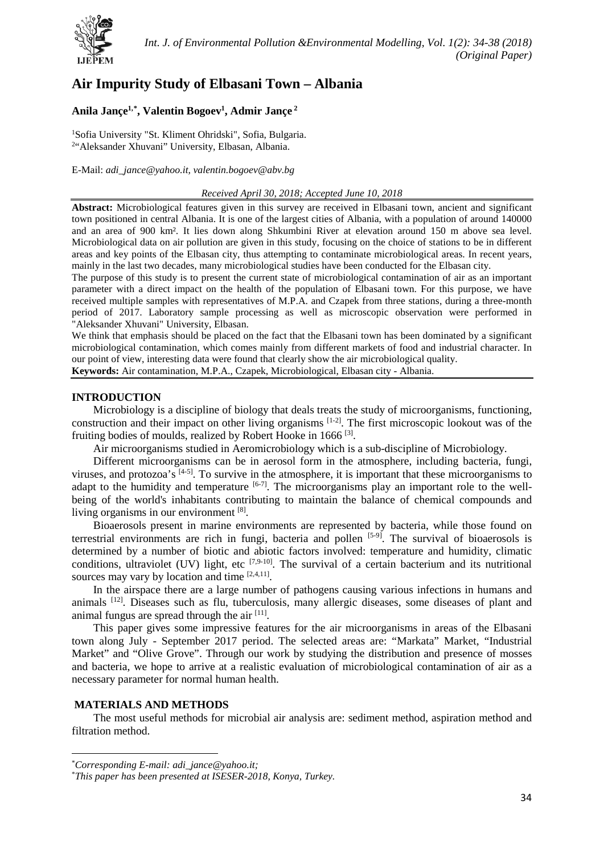

# **Air Impurity Study of Elbasani Town – Albania**

# **Anila Jançe1,[\\*](#page-0-0) , Valentin Bogoev1 , Admir Jançe <sup>2</sup>**

<sup>1</sup>Sofia University "St. Kliment Ohridski", Sofia, Bulgaria. 2 "Aleksander Xhuvani" University, Elbasan, Albania.

E-Mail: *adi\_jance@yahoo.it, valentin.bogoev@abv.bg*

#### *Received April 30, 2018; Accepted June 10, 2018*

**Abstract:** Microbiological features given in this survey are received in Elbasani town, ancient and significant town positioned in central Albania. It is one of the largest cities of Albania, with a population of around 140000 and an area of 900 km². It lies down along Shkumbini River at elevation around 150 m above sea level. Microbiological data on air pollution are given in this study, focusing on the choice of stations to be in different areas and key points of the Elbasan city, thus attempting to contaminate microbiological areas. In recent years, mainly in the last two decades, many microbiological studies have been conducted for the Elbasan city.

The purpose of this study is to present the current state of microbiological contamination of air as an important parameter with a direct impact on the health of the population of Elbasani town. For this purpose, we have received multiple samples with representatives of M.P.A. and Czapek from three stations, during a three-month period of 2017. Laboratory sample processing as well as microscopic observation were performed in "Aleksander Xhuvani" University, Elbasan.

We think that emphasis should be placed on the fact that the Elbasani town has been dominated by a significant microbiological contamination, which comes mainly from different markets of food and industrial character. In our point of view, interesting data were found that clearly show the air microbiological quality.

**Keywords:** Air contamination, M.P.A., Czapek, Microbiological, Elbasan city - Albania.

### **INTRODUCTION**

Microbiology is a discipline of biology that deals treats the study of microorganisms, functioning, construction and their impact on other living organisms  $[1-2]$ . The first microscopic lookout was of the fruiting bodies of moulds, realized by Robert Hooke in 1666<sup>[3]</sup>.

Air microorganisms studied in Aeromicrobiology which is a sub-discipline of Microbiology.

Different microorganisms can be in aerosol form in the atmosphere, including bacteria, fungi, viruses, and protozoa's  $[4-5]$ . To survive in the atmosphere, it is important that these microorganisms to adapt to the humidity and temperature  $[6-7]$ . The microorganisms play an important role to the wellbeing of the world's inhabitants contributing to maintain the balance of chemical compounds and living organisms in our environment [8].

Bioaerosols present in marine environments are represented by bacteria, while those found on terrestrial environments are rich in fungi, bacteria and pollen [5-9]. The survival of bioaerosols is determined by a number of biotic and abiotic factors involved: temperature and humidity, climatic conditions, ultraviolet (UV) light, etc  $[7,9-10]$ . The survival of a certain bacterium and its nutritional sources may vary by location and time  $[2,4,11]$ .

In the airspace there are a large number of pathogens causing various infections in humans and animals [12]. Diseases such as flu, tuberculosis, many allergic diseases, some diseases of plant and animal fungus are spread through the air [11].

This paper gives some impressive features for the air microorganisms in areas of the Elbasani town along July - September 2017 period. The selected areas are: "Markata" Market, "Industrial Market" and "Olive Grove". Through our work by studying the distribution and presence of mosses and bacteria, we hope to arrive at a realistic evaluation of microbiological contamination of air as a necessary parameter for normal human health.

# **MATERIALS AND METHODS**

 $\overline{a}$ 

The most useful methods for microbial air analysis are: sediment method, aspiration method and filtration method.

<span id="page-0-0"></span><sup>\*</sup> *Corresponding E-mail: adi\_jance@yahoo.it;*

<sup>\*</sup> *This paper has been presented at ISESER-2018, Konya, Turkey.*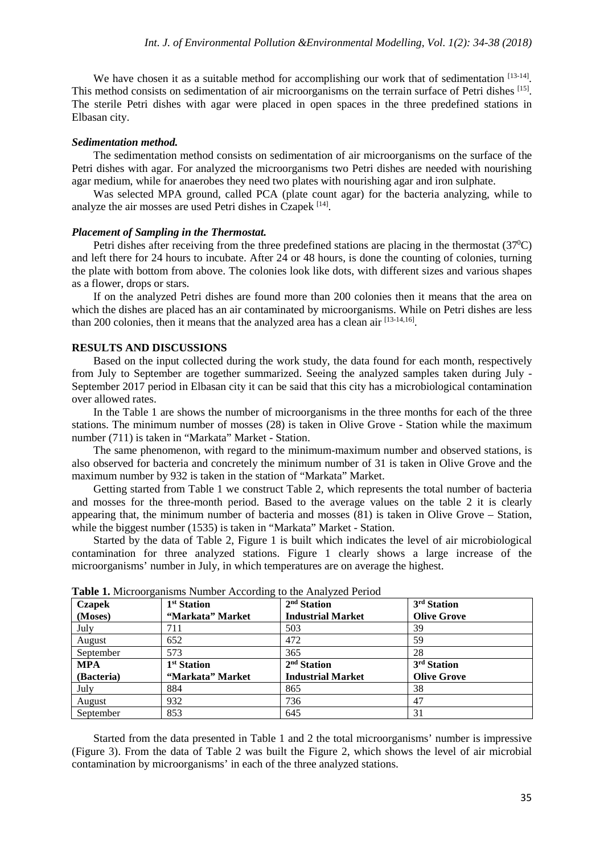We have chosen it as a suitable method for accomplishing our work that of sedimentation [13-14]. This method consists on sedimentation of air microorganisms on the terrain surface of Petri dishes [15]. The sterile Petri dishes with agar were placed in open spaces in the three predefined stations in Elbasan city.

#### *Sedimentation method.*

The sedimentation method consists on sedimentation of air microorganisms on the surface of the Petri dishes with agar. For analyzed the microorganisms two Petri dishes are needed with nourishing agar medium, while for anaerobes they need two plates with nourishing agar and iron sulphate.

Was selected MPA ground, called PCA (plate count agar) for the bacteria analyzing, while to analyze the air mosses are used Petri dishes in Czapek [14].

#### *Placement of Sampling in the Thermostat.*

Petri dishes after receiving from the three predefined stations are placing in the thermostat  $(37^{\circ}C)$ and left there for 24 hours to incubate. After 24 or 48 hours, is done the counting of colonies, turning the plate with bottom from above. The colonies look like dots, with different sizes and various shapes as a flower, drops or stars.

If on the analyzed Petri dishes are found more than 200 colonies then it means that the area on which the dishes are placed has an air contaminated by microorganisms. While on Petri dishes are less than 200 colonies, then it means that the analyzed area has a clean air [13-14,16].

#### **RESULTS AND DISCUSSIONS**

Based on the input collected during the work study, the data found for each month, respectively from July to September are together summarized. Seeing the analyzed samples taken during July - September 2017 period in Elbasan city it can be said that this city has a microbiological contamination over allowed rates.

In the Table 1 are shows the number of microorganisms in the three months for each of the three stations. The minimum number of mosses (28) is taken in Olive Grove - Station while the maximum number (711) is taken in "Markata" Market - Station.

The same phenomenon, with regard to the minimum-maximum number and observed stations, is also observed for bacteria and concretely the minimum number of 31 is taken in Olive Grove and the maximum number by 932 is taken in the station of "Markata" Market.

Getting started from Table 1 we construct Table 2, which represents the total number of bacteria and mosses for the three-month period. Based to the average values on the table 2 it is clearly appearing that, the minimum number of bacteria and mosses (81) is taken in Olive Grove – Station, while the biggest number (1535) is taken in "Markata" Market - Station.

Started by the data of Table 2, Figure 1 is built which indicates the level of air microbiological contamination for three analyzed stations. Figure 1 clearly shows a large increase of the microorganisms' number in July, in which temperatures are on average the highest.

| <b>Czapek</b> | 1 <sup>st</sup> Station | $2nd$ Station            | 3 <sup>rd</sup> Station |
|---------------|-------------------------|--------------------------|-------------------------|
| (Moses)       | "Markata" Market        | <b>Industrial Market</b> | <b>Olive Grove</b>      |
| July          | 711                     | 503                      | 39                      |
| August        | 652                     | 472                      | 59                      |
| September     | 573                     | 365                      | 28                      |
| <b>MPA</b>    | 1 <sup>st</sup> Station | 2 <sup>nd</sup> Station  | 3 <sup>rd</sup> Station |
| (Bacteria)    | "Markata" Market        | <b>Industrial Market</b> | <b>Olive Grove</b>      |
| July          | 884                     | 865                      | 38                      |
| August        | 932                     | 736                      | 47                      |
| September     | 853                     | 645                      | 31                      |

**Table 1.** Microorganisms Number According to the Analyzed Period

Started from the data presented in Table 1 and 2 the total microorganisms' number is impressive (Figure 3). From the data of Table 2 was built the Figure 2, which shows the level of air microbial contamination by microorganisms' in each of the three analyzed stations.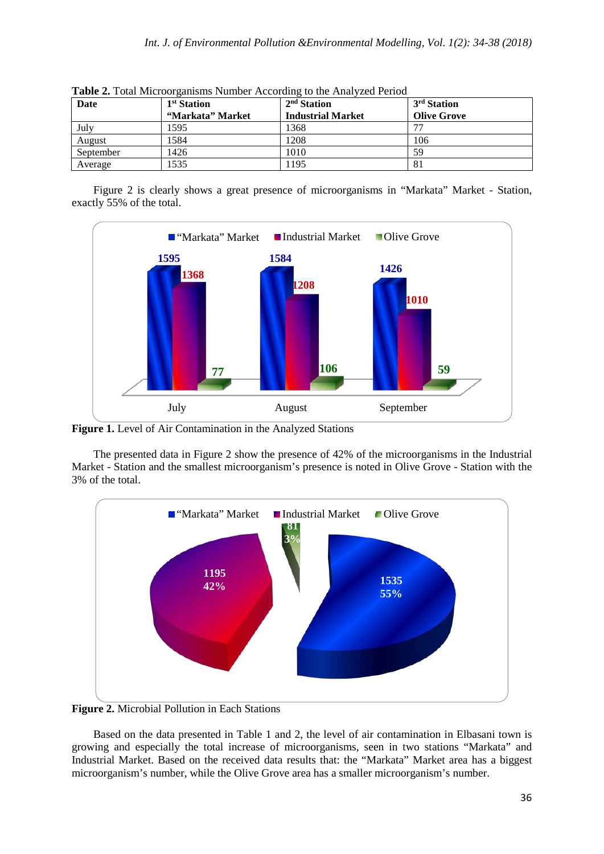| Date      | 1 <sup>st</sup> Station<br>"Markata" Market | $2nd$ Station<br><b>Industrial Market</b> | 3 <sup>rd</sup> Station<br><b>Olive Grove</b> |
|-----------|---------------------------------------------|-------------------------------------------|-----------------------------------------------|
| July      | 1595                                        | 1368                                      | 77                                            |
| August    | 1584                                        | 1208                                      | 106                                           |
| September | 1426                                        | 1010                                      | 59                                            |
| Average   | 1535                                        | 195                                       | 81                                            |

**Table 2.** Total Microorganisms Number According to the Analyzed Period

Figure 2 is clearly shows a great presence of microorganisms in "Markata" Market - Station, exactly 55% of the total.



**Figure 1.** Level of Air Contamination in the Analyzed Stations

The presented data in Figure 2 show the presence of 42% of the microorganisms in the Industrial Market - Station and the smallest microorganism's presence is noted in Olive Grove - Station with the 3% of the total.



**Figure 2.** Microbial Pollution in Each Stations

Based on the data presented in Table 1 and 2, the level of air contamination in Elbasani town is growing and especially the total increase of microorganisms, seen in two stations "Markata" and Industrial Market. Based on the received data results that: the "Markata" Market area has a biggest microorganism's number, while the Olive Grove area has a smaller microorganism's number.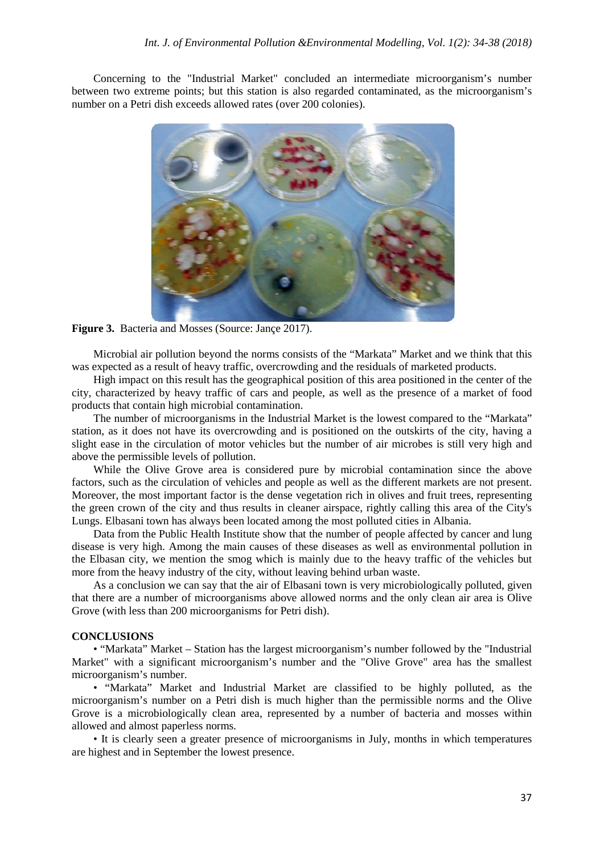Concerning to the "Industrial Market" concluded an intermediate microorganism's number between two extreme points; but this station is also regarded contaminated, as the microorganism's number on a Petri dish exceeds allowed rates (over 200 colonies).



Figure 3. Bacteria and Mosses (Source: Jance 2017).

Microbial air pollution beyond the norms consists of the "Markata" Market and we think that this was expected as a result of heavy traffic, overcrowding and the residuals of marketed products.

High impact on this result has the geographical position of this area positioned in the center of the city, characterized by heavy traffic of cars and people, as well as the presence of a market of food products that contain high microbial contamination.

The number of microorganisms in the Industrial Market is the lowest compared to the "Markata" station, as it does not have its overcrowding and is positioned on the outskirts of the city, having a slight ease in the circulation of motor vehicles but the number of air microbes is still very high and above the permissible levels of pollution.

While the Olive Grove area is considered pure by microbial contamination since the above factors, such as the circulation of vehicles and people as well as the different markets are not present. Moreover, the most important factor is the dense vegetation rich in olives and fruit trees, representing the green crown of the city and thus results in cleaner airspace, rightly calling this area of the City's Lungs. Elbasani town has always been located among the most polluted cities in Albania.

Data from the Public Health Institute show that the number of people affected by cancer and lung disease is very high. Among the main causes of these diseases as well as environmental pollution in the Elbasan city, we mention the smog which is mainly due to the heavy traffic of the vehicles but more from the heavy industry of the city, without leaving behind urban waste.

As a conclusion we can say that the air of Elbasani town is very microbiologically polluted, given that there are a number of microorganisms above allowed norms and the only clean air area is Olive Grove (with less than 200 microorganisms for Petri dish).

#### **CONCLUSIONS**

• "Markata" Market – Station has the largest microorganism's number followed by the "Industrial Market" with a significant microorganism's number and the "Olive Grove" area has the smallest microorganism's number.

• "Markata" Market and Industrial Market are classified to be highly polluted, as the microorganism's number on a Petri dish is much higher than the permissible norms and the Olive Grove is a microbiologically clean area, represented by a number of bacteria and mosses within allowed and almost paperless norms.

• It is clearly seen a greater presence of microorganisms in July, months in which temperatures are highest and in September the lowest presence.